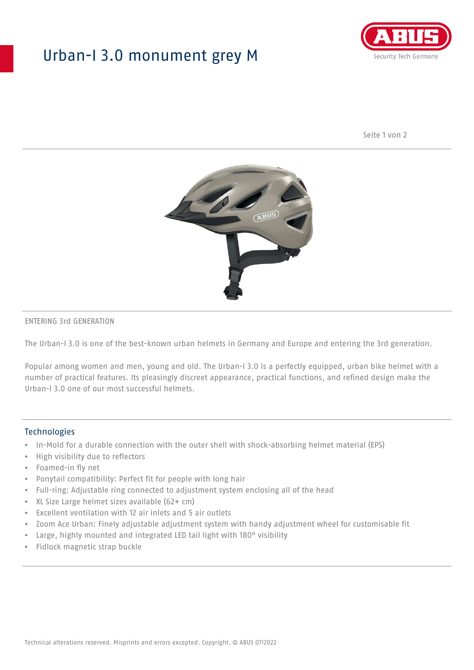## Urban-I 3.0 monument grey M



Seite 1 von 2



#### ENTERING 3rd GENERATION

The Urban-I 3.0 is one of the best-known urban helmets in Germany and Europe and entering the 3rd generation.

Popular among women and men, young and old. The Urban-I 3.0 is a perfectly equipped, urban bike helmet with a number of practical features. Its pleasingly discreet appearance, practical functions, and refined design make the Urban-I 3.0 one of our most successful helmets.

#### **Technologies**

- In-Mold for a durable connection with the outer shell with shock-absorbing helmet material (EPS)
- High visibility due to reflectors
- Foamed-in fly net
- Ponytail compatibility: Perfect fit for people with long hair
- Full-ring: Adjustable ring connected to adjustment system enclosing all of the head
- XL Size Large helmet sizes available (62+ cm)
- Excellent ventilation with 12 air inlets and 5 air outlets
- Zoom Ace Urban: Finely adjustable adjustment system with handy adjustment wheel for customisable fit
- Large, highly mounted and integrated LED tail light with 180° visibility
- Fidlock magnetic strap buckle